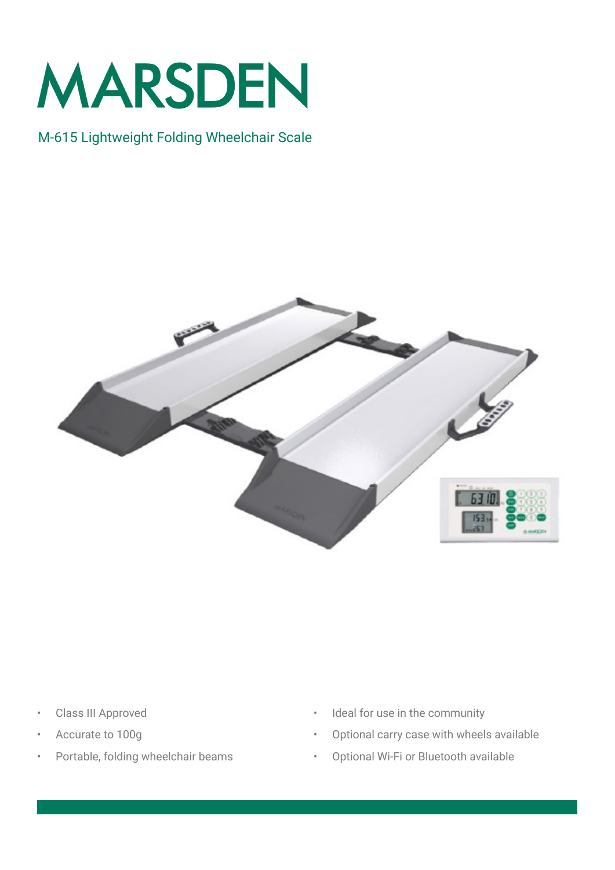

## M-615 Lightweight Folding Wheelchair Scale



- Class III Approved
- Accurate to 100g
- Portable, folding wheelchair beams
- Ideal for use in the community
- Optional carry case with wheels available
- Optional Wi-Fi or Bluetooth available